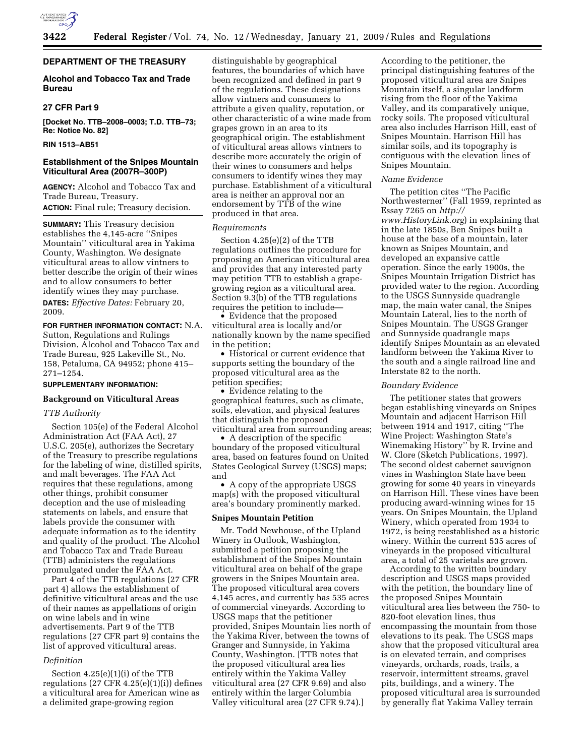

# **DEPARTMENT OF THE TREASURY**

# **Alcohol and Tobacco Tax and Trade Bureau**

## **27 CFR Part 9**

**[Docket No. TTB–2008–0003; T.D. TTB–73; Re: Notice No. 82]** 

### **RIN 1513–AB51**

# **Establishment of the Snipes Mountain Viticultural Area (2007R–300P)**

**AGENCY:** Alcohol and Tobacco Tax and Trade Bureau, Treasury. **ACTION:** Final rule; Treasury decision.

**SUMMARY:** This Treasury decision establishes the 4,145-acre ''Snipes Mountain'' viticultural area in Yakima County, Washington. We designate viticultural areas to allow vintners to better describe the origin of their wines and to allow consumers to better identify wines they may purchase. **DATES:** *Effective Dates:* February 20, 2009.

# **FOR FURTHER INFORMATION CONTACT:** N.A. Sutton, Regulations and Rulings Division, Alcohol and Tobacco Tax and

Trade Bureau, 925 Lakeville St., No. 158, Petaluma, CA 94952; phone 415– 271–1254.

## **SUPPLEMENTARY INFORMATION:**

# **Background on Viticultural Areas**

## *TTB Authority*

Section 105(e) of the Federal Alcohol Administration Act (FAA Act), 27 U.S.C. 205(e), authorizes the Secretary of the Treasury to prescribe regulations for the labeling of wine, distilled spirits, and malt beverages. The FAA Act requires that these regulations, among other things, prohibit consumer deception and the use of misleading statements on labels, and ensure that labels provide the consumer with adequate information as to the identity and quality of the product. The Alcohol and Tobacco Tax and Trade Bureau (TTB) administers the regulations promulgated under the FAA Act.

Part 4 of the TTB regulations (27 CFR part 4) allows the establishment of definitive viticultural areas and the use of their names as appellations of origin on wine labels and in wine advertisements. Part 9 of the TTB regulations (27 CFR part 9) contains the list of approved viticultural areas.

#### *Definition*

Section 4.25(e)(1)(i) of the TTB regulations  $(27 \text{ CFR } 4.25(e)(1)(i))$  defines a viticultural area for American wine as a delimited grape-growing region

distinguishable by geographical features, the boundaries of which have been recognized and defined in part 9 of the regulations. These designations allow vintners and consumers to attribute a given quality, reputation, or other characteristic of a wine made from grapes grown in an area to its geographical origin. The establishment of viticultural areas allows vintners to describe more accurately the origin of their wines to consumers and helps consumers to identify wines they may purchase. Establishment of a viticultural area is neither an approval nor an endorsement by TTB of the wine produced in that area.

#### *Requirements*

Section 4.25(e)(2) of the TTB regulations outlines the procedure for proposing an American viticultural area and provides that any interested party may petition TTB to establish a grapegrowing region as a viticultural area. Section 9.3(b) of the TTB regulations requires the petition to include—

• Evidence that the proposed viticultural area is locally and/or nationally known by the name specified in the petition;

• Historical or current evidence that supports setting the boundary of the proposed viticultural area as the petition specifies;

• Evidence relating to the geographical features, such as climate, soils, elevation, and physical features that distinguish the proposed viticultural area from surrounding areas;

• A description of the specific boundary of the proposed viticultural area, based on features found on United States Geological Survey (USGS) maps; and

• A copy of the appropriate USGS map(s) with the proposed viticultural area's boundary prominently marked.

## **Snipes Mountain Petition**

Mr. Todd Newhouse, of the Upland Winery in Outlook, Washington, submitted a petition proposing the establishment of the Snipes Mountain viticultural area on behalf of the grape growers in the Snipes Mountain area. The proposed viticultural area covers 4,145 acres, and currently has 535 acres of commercial vineyards. According to USGS maps that the petitioner provided, Snipes Mountain lies north of the Yakima River, between the towns of Granger and Sunnyside, in Yakima County, Washington. [TTB notes that the proposed viticultural area lies entirely within the Yakima Valley viticultural area (27 CFR 9.69) and also entirely within the larger Columbia Valley viticultural area (27 CFR 9.74).]

According to the petitioner, the principal distinguishing features of the proposed viticultural area are Snipes Mountain itself, a singular landform rising from the floor of the Yakima Valley, and its comparatively unique, rocky soils. The proposed viticultural area also includes Harrison Hill, east of Snipes Mountain. Harrison Hill has similar soils, and its topography is contiguous with the elevation lines of Snipes Mountain.

#### *Name Evidence*

The petition cites ''The Pacific Northwesterner'' (Fall 1959, reprinted as Essay 7265 on *http:// www.HistoryLink.org*) in explaining that in the late 1850s, Ben Snipes built a house at the base of a mountain, later known as Snipes Mountain, and developed an expansive cattle operation. Since the early 1900s, the Snipes Mountain Irrigation District has provided water to the region. According to the USGS Sunnyside quadrangle map, the main water canal, the Snipes Mountain Lateral, lies to the north of Snipes Mountain. The USGS Granger and Sunnyside quadrangle maps identify Snipes Mountain as an elevated landform between the Yakima River to the south and a single railroad line and Interstate 82 to the north.

### *Boundary Evidence*

The petitioner states that growers began establishing vineyards on Snipes Mountain and adjacent Harrison Hill between 1914 and 1917, citing ''The Wine Project: Washington State's Winemaking History'' by R. Irvine and W. Clore (Sketch Publications, 1997). The second oldest cabernet sauvignon vines in Washington State have been growing for some 40 years in vineyards on Harrison Hill. These vines have been producing award-winning wines for 15 years. On Snipes Mountain, the Upland Winery, which operated from 1934 to 1972, is being reestablished as a historic winery. Within the current 535 acres of vineyards in the proposed viticultural area, a total of 25 varietals are grown.

According to the written boundary description and USGS maps provided with the petition, the boundary line of the proposed Snipes Mountain viticultural area lies between the 750- to 820-foot elevation lines, thus encompassing the mountain from those elevations to its peak. The USGS maps show that the proposed viticultural area is on elevated terrain, and comprises vineyards, orchards, roads, trails, a reservoir, intermittent streams, gravel pits, buildings, and a winery. The proposed viticultural area is surrounded by generally flat Yakima Valley terrain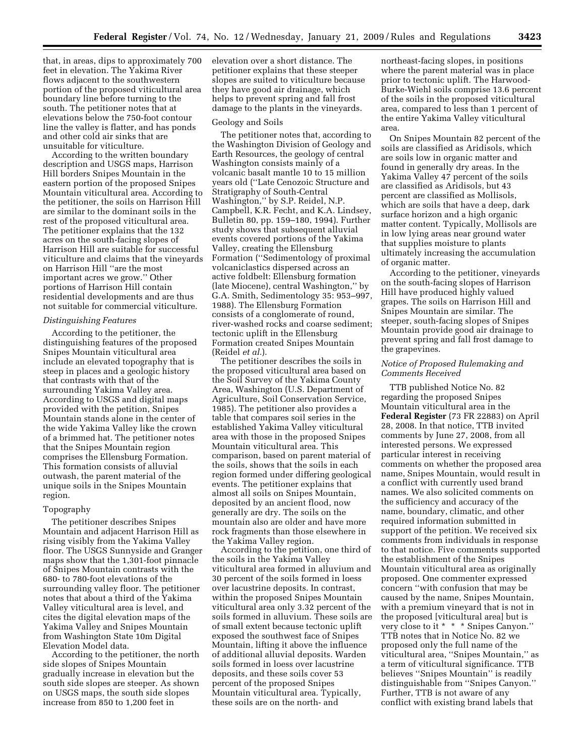that, in areas, dips to approximately 700 feet in elevation. The Yakima River flows adjacent to the southwestern portion of the proposed viticultural area boundary line before turning to the south. The petitioner notes that at elevations below the 750-foot contour line the valley is flatter, and has ponds and other cold air sinks that are unsuitable for viticulture.

According to the written boundary description and USGS maps, Harrison Hill borders Snipes Mountain in the eastern portion of the proposed Snipes Mountain viticultural area. According to the petitioner, the soils on Harrison Hill are similar to the dominant soils in the rest of the proposed viticultural area. The petitioner explains that the 132 acres on the south-facing slopes of Harrison Hill are suitable for successful viticulture and claims that the vineyards on Harrison Hill ''are the most important acres we grow.'' Other portions of Harrison Hill contain residential developments and are thus not suitable for commercial viticulture.

#### *Distinguishing Features*

According to the petitioner, the distinguishing features of the proposed Snipes Mountain viticultural area include an elevated topography that is steep in places and a geologic history that contrasts with that of the surrounding Yakima Valley area. According to USGS and digital maps provided with the petition, Snipes Mountain stands alone in the center of the wide Yakima Valley like the crown of a brimmed hat. The petitioner notes that the Snipes Mountain region comprises the Ellensburg Formation. This formation consists of alluvial outwash, the parent material of the unique soils in the Snipes Mountain region.

## Topography

The petitioner describes Snipes Mountain and adjacent Harrison Hill as rising visibly from the Yakima Valley floor. The USGS Sunnyside and Granger maps show that the 1,301-foot pinnacle of Snipes Mountain contrasts with the 680- to 780-foot elevations of the surrounding valley floor. The petitioner notes that about a third of the Yakima Valley viticultural area is level, and cites the digital elevation maps of the Yakima Valley and Snipes Mountain from Washington State 10m Digital Elevation Model data.

According to the petitioner, the north side slopes of Snipes Mountain gradually increase in elevation but the south side slopes are steeper. As shown on USGS maps, the south side slopes increase from 850 to 1,200 feet in

elevation over a short distance. The petitioner explains that these steeper slopes are suited to viticulture because they have good air drainage, which helps to prevent spring and fall frost damage to the plants in the vineyards.

#### Geology and Soils

The petitioner notes that, according to the Washington Division of Geology and Earth Resources, the geology of central Washington consists mainly of a volcanic basalt mantle 10 to 15 million years old (''Late Cenozoic Structure and Stratigraphy of South-Central Washington,'' by S.P. Reidel, N.P. Campbell, K.R. Fecht, and K.A. Lindsey, Bulletin 80, pp. 159–180, 1994). Further study shows that subsequent alluvial events covered portions of the Yakima Valley, creating the Ellensburg Formation (''Sedimentology of proximal volcaniclastics dispersed across an active foldbelt: Ellensburg formation (late Miocene), central Washington,'' by G.A. Smith, Sedimentology 35: 953–997, 1988). The Ellensburg Formation consists of a conglomerate of round, river-washed rocks and coarse sediment; tectonic uplift in the Ellensburg Formation created Snipes Mountain (Reidel *et al.*).

The petitioner describes the soils in the proposed viticultural area based on the Soil Survey of the Yakima County Area, Washington (U.S. Department of Agriculture, Soil Conservation Service, 1985). The petitioner also provides a table that compares soil series in the established Yakima Valley viticultural area with those in the proposed Snipes Mountain viticultural area. This comparison, based on parent material of the soils, shows that the soils in each region formed under differing geological events. The petitioner explains that almost all soils on Snipes Mountain, deposited by an ancient flood, now generally are dry. The soils on the mountain also are older and have more rock fragments than those elsewhere in the Yakima Valley region.

According to the petition, one third of the soils in the Yakima Valley viticultural area formed in alluvium and 30 percent of the soils formed in loess over lacustrine deposits. In contrast, within the proposed Snipes Mountain viticultural area only 3.32 percent of the soils formed in alluvium. These soils are of small extent because tectonic uplift exposed the southwest face of Snipes Mountain, lifting it above the influence of additional alluvial deposits. Warden soils formed in loess over lacustrine deposits, and these soils cover 53 percent of the proposed Snipes Mountain viticultural area. Typically, these soils are on the north- and

northeast-facing slopes, in positions where the parent material was in place prior to tectonic uplift. The Harwood-Burke-Wiehl soils comprise 13.6 percent of the soils in the proposed viticultural area, compared to less than 1 percent of the entire Yakima Valley viticultural area.

On Snipes Mountain 82 percent of the soils are classified as Aridisols, which are soils low in organic matter and found in generally dry areas. In the Yakima Valley 47 percent of the soils are classified as Aridisols, but 43 percent are classified as Mollisols, which are soils that have a deep, dark surface horizon and a high organic matter content. Typically, Mollisols are in low lying areas near ground water that supplies moisture to plants ultimately increasing the accumulation of organic matter.

According to the petitioner, vineyards on the south-facing slopes of Harrison Hill have produced highly valued grapes. The soils on Harrison Hill and Snipes Mountain are similar. The steeper, south-facing slopes of Snipes Mountain provide good air drainage to prevent spring and fall frost damage to the grapevines.

## *Notice of Proposed Rulemaking and Comments Received*

TTB published Notice No. 82 regarding the proposed Snipes Mountain viticultural area in the **Federal Register** (73 FR 22883) on April 28, 2008. In that notice, TTB invited comments by June 27, 2008, from all interested persons. We expressed particular interest in receiving comments on whether the proposed area name, Snipes Mountain, would result in a conflict with currently used brand names. We also solicited comments on the sufficiency and accuracy of the name, boundary, climatic, and other required information submitted in support of the petition. We received six comments from individuals in response to that notice. Five comments supported the establishment of the Snipes Mountain viticultural area as originally proposed. One commenter expressed concern ''with confusion that may be caused by the name, Snipes Mountain, with a premium vineyard that is not in the proposed [viticultural area] but is very close to it \* \* \* Snipes Canyon.'' TTB notes that in Notice No. 82 we proposed only the full name of the viticultural area, ''Snipes Mountain,'' as a term of viticultural significance. TTB believes ''Snipes Mountain'' is readily distinguishable from ''Snipes Canyon.'' Further, TTB is not aware of any conflict with existing brand labels that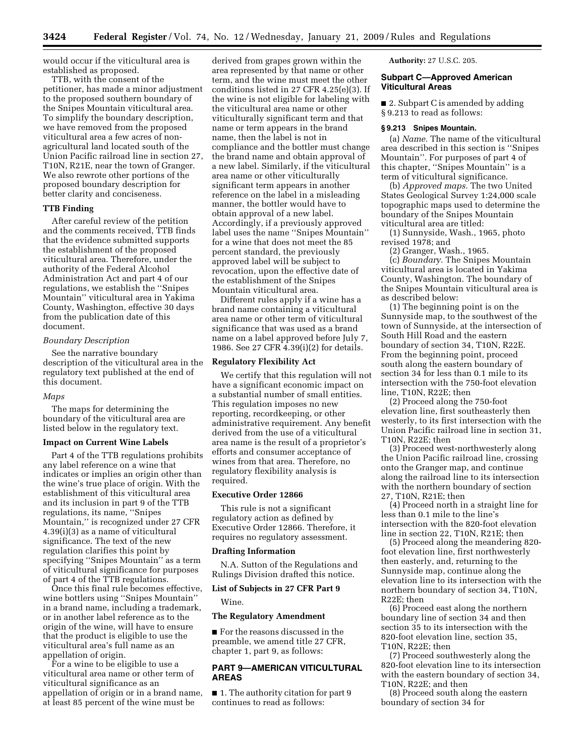would occur if the viticultural area is established as proposed.

TTB, with the consent of the petitioner, has made a minor adjustment to the proposed southern boundary of the Snipes Mountain viticultural area. To simplify the boundary description, we have removed from the proposed viticultural area a few acres of nonagricultural land located south of the Union Pacific railroad line in section 27, T10N, R21E, near the town of Granger. We also rewrote other portions of the proposed boundary description for better clarity and conciseness.

# **TTB Finding**

After careful review of the petition and the comments received, TTB finds that the evidence submitted supports the establishment of the proposed viticultural area. Therefore, under the authority of the Federal Alcohol Administration Act and part 4 of our regulations, we establish the ''Snipes Mountain'' viticultural area in Yakima County, Washington, effective 30 days from the publication date of this document.

### *Boundary Description*

See the narrative boundary description of the viticultural area in the regulatory text published at the end of this document.

#### *Maps*

The maps for determining the boundary of the viticultural area are listed below in the regulatory text.

#### **Impact on Current Wine Labels**

Part 4 of the TTB regulations prohibits any label reference on a wine that indicates or implies an origin other than the wine's true place of origin. With the establishment of this viticultural area and its inclusion in part 9 of the TTB regulations, its name, ''Snipes Mountain,'' is recognized under 27 CFR 4.39(i)(3) as a name of viticultural significance. The text of the new regulation clarifies this point by specifying ''Snipes Mountain'' as a term of viticultural significance for purposes of part 4 of the TTB regulations.

Once this final rule becomes effective, wine bottlers using ''Snipes Mountain'' in a brand name, including a trademark, or in another label reference as to the origin of the wine, will have to ensure that the product is eligible to use the viticultural area's full name as an appellation of origin.

For a wine to be eligible to use a viticultural area name or other term of viticultural significance as an appellation of origin or in a brand name, at least 85 percent of the wine must be

derived from grapes grown within the area represented by that name or other term, and the wine must meet the other conditions listed in 27 CFR 4.25(e)(3). If the wine is not eligible for labeling with the viticultural area name or other viticulturally significant term and that name or term appears in the brand name, then the label is not in compliance and the bottler must change the brand name and obtain approval of a new label. Similarly, if the viticultural area name or other viticulturally significant term appears in another reference on the label in a misleading manner, the bottler would have to obtain approval of a new label. Accordingly, if a previously approved label uses the name ''Snipes Mountain'' for a wine that does not meet the 85 percent standard, the previously approved label will be subject to revocation, upon the effective date of the establishment of the Snipes Mountain viticultural area.

Different rules apply if a wine has a brand name containing a viticultural area name or other term of viticultural significance that was used as a brand name on a label approved before July 7, 1986. See 27 CFR 4.39(i)(2) for details.

### **Regulatory Flexibility Act**

We certify that this regulation will not have a significant economic impact on a substantial number of small entities. This regulation imposes no new reporting, recordkeeping, or other administrative requirement. Any benefit derived from the use of a viticultural area name is the result of a proprietor's efforts and consumer acceptance of wines from that area. Therefore, no regulatory flexibility analysis is required.

### **Executive Order 12866**

This rule is not a significant regulatory action as defined by Executive Order 12866. Therefore, it requires no regulatory assessment.

### **Drafting Information**

N.A. Sutton of the Regulations and Rulings Division drafted this notice.

### **List of Subjects in 27 CFR Part 9**

Wine.

#### **The Regulatory Amendment**

■ For the reasons discussed in the preamble, we amend title 27 CFR, chapter 1, part 9, as follows:

# **PART 9—AMERICAN VITICULTURAL AREAS**

■ 1. The authority citation for part 9 continues to read as follows:

**Authority:** 27 U.S.C. 205.

### **Subpart C—Approved American Viticultural Areas**

■ 2. Subpart C is amended by adding § 9.213 to read as follows:

### **§ 9.213 Snipes Mountain.**

(a) *Name.* The name of the viticultural area described in this section is ''Snipes Mountain''. For purposes of part 4 of this chapter, ''Snipes Mountain'' is a term of viticultural significance.

(b) *Approved maps.* The two United States Geological Survey 1:24,000 scale topographic maps used to determine the boundary of the Snipes Mountain viticultural area are titled:

(1) Sunnyside, Wash., 1965, photo revised 1978; and

(2) Granger, Wash., 1965.

(c) *Boundary.* The Snipes Mountain viticultural area is located in Yakima County, Washington. The boundary of the Snipes Mountain viticultural area is as described below:

(1) The beginning point is on the Sunnyside map, to the southwest of the town of Sunnyside, at the intersection of South Hill Road and the eastern boundary of section 34, T10N, R22E. From the beginning point, proceed south along the eastern boundary of section 34 for less than 0.1 mile to its intersection with the 750-foot elevation line, T10N, R22E; then

(2) Proceed along the 750-foot elevation line, first southeasterly then westerly, to its first intersection with the Union Pacific railroad line in section 31, T10N, R22E; then

(3) Proceed west-northwesterly along the Union Pacific railroad line, crossing onto the Granger map, and continue along the railroad line to its intersection with the northern boundary of section 27, T10N, R21E; then

(4) Proceed north in a straight line for less than 0.1 mile to the line's intersection with the 820-foot elevation line in section 22, T10N, R21E; then

(5) Proceed along the meandering 820 foot elevation line, first northwesterly then easterly, and, returning to the Sunnyside map, continue along the elevation line to its intersection with the northern boundary of section 34, T10N, R22E; then

(6) Proceed east along the northern boundary line of section 34 and then section 35 to its intersection with the 820-foot elevation line, section 35, T10N, R22E; then

(7) Proceed southwesterly along the 820-foot elevation line to its intersection with the eastern boundary of section 34, T10N, R22E; and then

(8) Proceed south along the eastern boundary of section 34 for